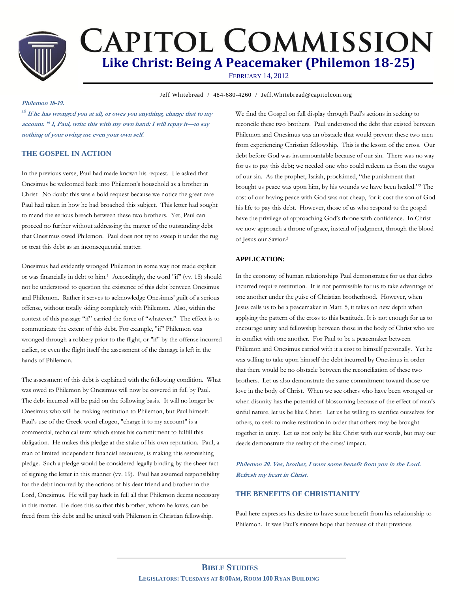

# **CAPITOL COMMISSION Like Christ: Being A Peacemaker (Philemon 18-25)**

FEBRUARY 14, 2012

**Jeff Whitebread / 484-680-4260 / Jeff.Whitebread@capitolcom.org** 

# **Philemon 18-19.**

*<sup>18</sup>* **If he has wronged you at all, or owes you anything, charge that to my account. <sup>19</sup> I, Paul, write this with my own hand: I will repay it—to say nothing of your owing me even your own self.**

# **THE GOSPEL IN ACTION**

In the previous verse, Paul had made known his request. He asked that Onesimus be welcomed back into Philemon's household as a brother in Christ. No doubt this was a bold request because we notice the great care Paul had taken in how he had broached this subject. This letter had sought to mend the serious breach between these two brothers. Yet, Paul can proceed no further without addressing the matter of the outstanding debt that Onesimus owed Philemon. Paul does not try to sweep it under the rug or treat this debt as an inconsequential matter.

Onesimus had evidently wronged Philemon in some way not made explicit or was financially in debt to him.<sup>1</sup> Accordingly, the word "if" (vv. 18) should not be understood to question the existence of this debt between Onesimus and Philemon. Rather it serves to acknowledge Onesimus' guilt of a serious offense, without totally siding completely with Philemon. Also, within the context of this passage "if" carried the force of "whatever." The effect is to communicate the extent of this debt. For example, "if" Philemon was wronged through a robbery prior to the flight, or "if" by the offense incurred earlier, or even the flight itself the assessment of the damage is left in the hands of Philemon.

The assessment of this debt is explained with the following condition. What was owed to Philemon by Onesimus will now be covered in full by Paul. The debt incurred will be paid on the following basis. It will no longer be Onesimus who will be making restitution to Philemon, but Paul himself. Paul's use of the Greek word ellogeo, "charge it to my account" is a commercial, technical term which states his commitment to fulfill this obligation. He makes this pledge at the stake of his own reputation. Paul, a man of limited independent financial resources, is making this astonishing pledge. Such a pledge would be considered legally binding by the sheer fact of signing the letter in this manner (vv. 19). Paul has assumed responsibility for the debt incurred by the actions of his dear friend and brother in the Lord, Onesimus. He will pay back in full all that Philemon deems necessary in this matter. He does this so that this brother, whom he loves, can be freed from this debt and be united with Philemon in Christian fellowship.

We find the Gospel on full display through Paul's actions in seeking to reconcile these two brothers. Paul understood the debt that existed between Philemon and Onesimus was an obstacle that would prevent these two men from experiencing Christian fellowship. This is the lesson of the cross. Our debt before God was insurmountable because of our sin. There was no way for us to pay this debt; we needed one who could redeem us from the wages of our sin. As the prophet, Isaiah, proclaimed, "the punishment that brought us peace was upon him, by his wounds we have been healed."<sup>2</sup> The cost of our having peace with God was not cheap, for it cost the son of God his life to pay this debt. However, those of us who respond to the gospel have the privilege of approaching God's throne with confidence. In Christ we now approach a throne of grace, instead of judgment, through the blood of Jesus our Savior.<sup>3</sup>

## **APPLICATION:**

In the economy of human relationships Paul demonstrates for us that debts incurred require restitution. It is not permissible for us to take advantage of one another under the guise of Christian brotherhood. However, when Jesus calls us to be a peacemaker in Matt. 5, it takes on new depth when applying the pattern of the cross to this beatitude. It is not enough for us to encourage unity and fellowship between those in the body of Christ who are in conflict with one another. For Paul to be a peacemaker between Philemon and Onesimus carried with it a cost to himself personally. Yet he was willing to take upon himself the debt incurred by Onesimus in order that there would be no obstacle between the reconciliation of these two brothers. Let us also demonstrate the same commitment toward those we love in the body of Christ. When we see others who have been wronged or when disunity has the potential of blossoming because of the effect of man's sinful nature, let us be like Christ. Let us be willing to sacrifice ourselves for others, to seek to make restitution in order that others may be brought together in unity. Let us not only be like Christ with our words, but may our deeds demonstrate the reality of the cross' impact.

**Philemon 20. Yes, brother, I want some benefit from you in the Lord. Refresh my heart in Christ.**

# **THE BENEFITS OF CHRISTIANITY**

Paul here expresses his desire to have some benefit from his relationship to Philemon. It was Paul's sincere hope that because of their previous